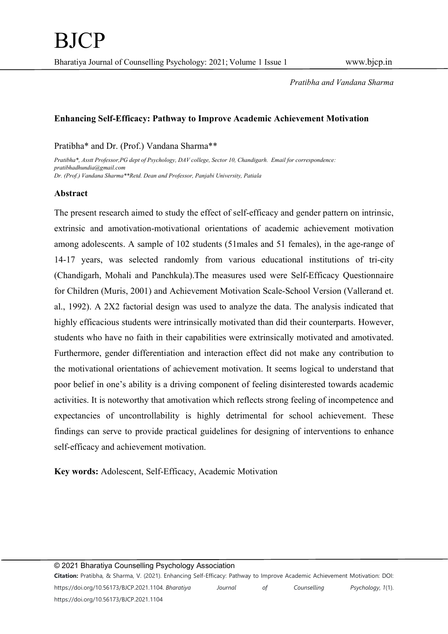## Enhancing Self-Efficacy: Pathway to Improve Academic Achievement Motivation

### Pratibha\* and Dr. (Prof.) Vandana Sharma\*\*

Pratibha\*, Asstt Professor,PG dept of Psychology, DAV college, Sector 10, Chandigarh. Email for correspondence: pratibhadhundia@gmail.com Dr. (Prof.) Vandana Sharma\*\*Retd. Dean and Professor, Panjabi University, Patiala

### Abstract

The present research aimed to study the effect of self-efficacy and gender pattern on intrinsic, extrinsic and amotivation-motivational orientations of academic achievement motivation among adolescents. A sample of 102 students (51males and 51 females), in the age-range of 14-17 years, was selected randomly from various educational institutions of tri-city (Chandigarh, Mohali and Panchkula).The measures used were Self-Efficacy Questionnaire for Children (Muris, 2001) and Achievement Motivation Scale-School Version (Vallerand et. al., 1992). A 2X2 factorial design was used to analyze the data. The analysis indicated that highly efficacious students were intrinsically motivated than did their counterparts. However, students who have no faith in their capabilities were extrinsically motivated and amotivated. Furthermore, gender differentiation and interaction effect did not make any contribution to the motivational orientations of achievement motivation. It seems logical to understand that poor belief in one's ability is a driving component of feeling disinterested towards academic activities. It is noteworthy that amotivation which reflects strong feeling of incompetence and expectancies of uncontrollability is highly detrimental for school achievement. These findings can serve to provide practical guidelines for designing of interventions to enhance self-efficacy and achievement motivation.

Key words: Adolescent, Self-Efficacy, Academic Motivation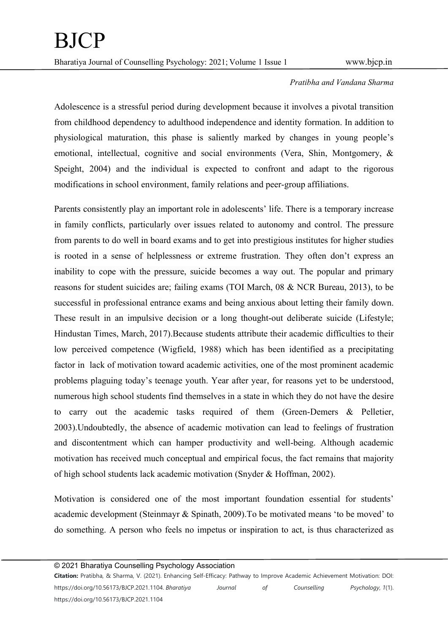Adolescence is a stressful period during development because it involves a pivotal transition from childhood dependency to adulthood independence and identity formation. In addition to physiological maturation, this phase is saliently marked by changes in young people's emotional, intellectual, cognitive and social environments (Vera, Shin, Montgomery, & Speight, 2004) and the individual is expected to confront and adapt to the rigorous modifications in school environment, family relations and peer-group affiliations.

Parents consistently play an important role in adolescents' life. There is a temporary increase in family conflicts, particularly over issues related to autonomy and control. The pressure from parents to do well in board exams and to get into prestigious institutes for higher studies is rooted in a sense of helplessness or extreme frustration. They often don't express an inability to cope with the pressure, suicide becomes a way out. The popular and primary reasons for student suicides are; failing exams (TOI March, 08 & NCR Bureau, 2013), to be successful in professional entrance exams and being anxious about letting their family down. These result in an impulsive decision or a long thought-out deliberate suicide (Lifestyle; Hindustan Times, March, 2017).Because students attribute their academic difficulties to their low perceived competence (Wigfield, 1988) which has been identified as a precipitating factor in lack of motivation toward academic activities, one of the most prominent academic problems plaguing today's teenage youth. Year after year, for reasons yet to be understood, numerous high school students find themselves in a state in which they do not have the desire to carry out the academic tasks required of them (Green-Demers & Pelletier, 2003).Undoubtedly, the absence of academic motivation can lead to feelings of frustration and discontentment which can hamper productivity and well-being. Although academic motivation has received much conceptual and empirical focus, the fact remains that majority of high school students lack academic motivation (Snyder & Hoffman, 2002).

Motivation is considered one of the most important foundation essential for students' academic development (Steinmayr & Spinath, 2009).To be motivated means 'to be moved' to do something. A person who feels no impetus or inspiration to act, is thus characterized as

© 2021 Bharatiya Counselling Psychology Association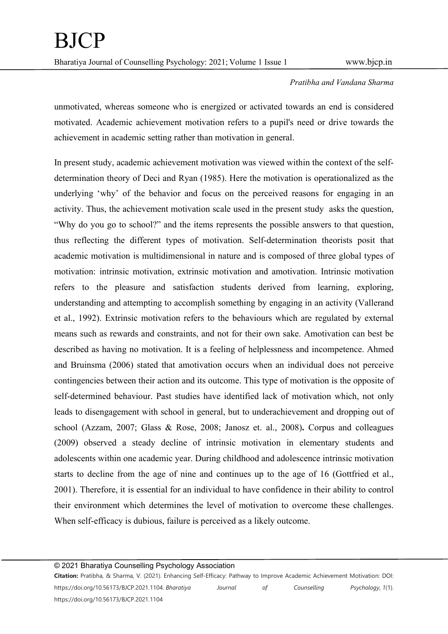unmotivated, whereas someone who is energized or activated towards an end is considered motivated. Academic achievement motivation refers to a pupil's need or drive towards the achievement in academic setting rather than motivation in general.

In present study, academic achievement motivation was viewed within the context of the selfdetermination theory of Deci and Ryan (1985). Here the motivation is operationalized as the underlying 'why' of the behavior and focus on the perceived reasons for engaging in an activity. Thus, the achievement motivation scale used in the present study asks the question, "Why do you go to school?" and the items represents the possible answers to that question, thus reflecting the different types of motivation. Self-determination theorists posit that academic motivation is multidimensional in nature and is composed of three global types of motivation: intrinsic motivation, extrinsic motivation and amotivation. Intrinsic motivation refers to the pleasure and satisfaction students derived from learning, exploring, understanding and attempting to accomplish something by engaging in an activity (Vallerand et al., 1992). Extrinsic motivation refers to the behaviours which are regulated by external means such as rewards and constraints, and not for their own sake. Amotivation can best be described as having no motivation. It is a feeling of helplessness and incompetence. Ahmed and Bruinsma (2006) stated that amotivation occurs when an individual does not perceive contingencies between their action and its outcome. This type of motivation is the opposite of self-determined behaviour. Past studies have identified lack of motivation which, not only leads to disengagement with school in general, but to underachievement and dropping out of school (Azzam, 2007; Glass & Rose, 2008; Janosz et. al., 2008). Corpus and colleagues (2009) observed a steady decline of intrinsic motivation in elementary students and adolescents within one academic year. During childhood and adolescence intrinsic motivation starts to decline from the age of nine and continues up to the age of 16 (Gottfried et al., 2001). Therefore, it is essential for an individual to have confidence in their ability to control their environment which determines the level of motivation to overcome these challenges. When self-efficacy is dubious, failure is perceived as a likely outcome.

© 2021 Bharatiya Counselling Psychology Association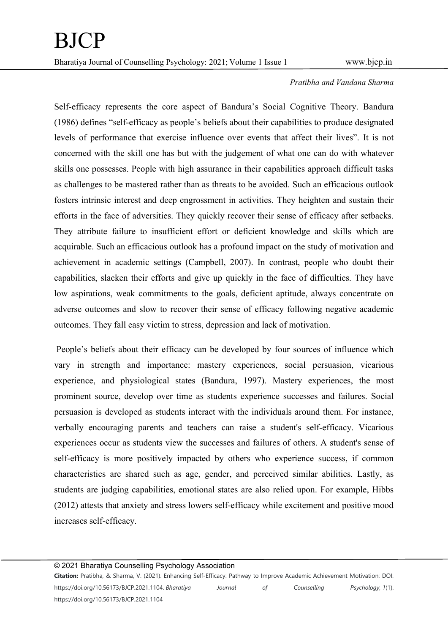Self-efficacy represents the core aspect of Bandura's Social Cognitive Theory. Bandura (1986) defines "self-efficacy as people's beliefs about their capabilities to produce designated levels of performance that exercise influence over events that affect their lives". It is not concerned with the skill one has but with the judgement of what one can do with whatever skills one possesses. People with high assurance in their capabilities approach difficult tasks as challenges to be mastered rather than as threats to be avoided. Such an efficacious outlook fosters intrinsic interest and deep engrossment in activities. They heighten and sustain their efforts in the face of adversities. They quickly recover their sense of efficacy after setbacks. They attribute failure to insufficient effort or deficient knowledge and skills which are acquirable. Such an efficacious outlook has a profound impact on the study of motivation and achievement in academic settings (Campbell, 2007). In contrast, people who doubt their capabilities, slacken their efforts and give up quickly in the face of difficulties. They have low aspirations, weak commitments to the goals, deficient aptitude, always concentrate on adverse outcomes and slow to recover their sense of efficacy following negative academic outcomes. They fall easy victim to stress, depression and lack of motivation.

 People's beliefs about their efficacy can be developed by four sources of influence which vary in strength and importance: mastery experiences, social persuasion, vicarious experience, and physiological states (Bandura, 1997). Mastery experiences, the most prominent source, develop over time as students experience successes and failures. Social persuasion is developed as students interact with the individuals around them. For instance, verbally encouraging parents and teachers can raise a student's self-efficacy. Vicarious experiences occur as students view the successes and failures of others. A student's sense of self-efficacy is more positively impacted by others who experience success, if common characteristics are shared such as age, gender, and perceived similar abilities. Lastly, as students are judging capabilities, emotional states are also relied upon. For example, Hibbs (2012) attests that anxiety and stress lowers self-efficacy while excitement and positive mood increases self-efficacy.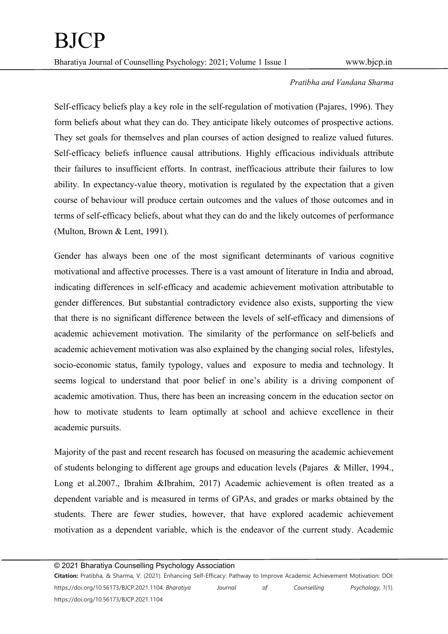Self-efficacy beliefs play a key role in the self-regulation of motivation (Pajares, 1996). They form beliefs about what they can do. They anticipate likely outcomes of prospective actions. They set goals for themselves and plan courses of action designed to realize valued futures. Self-efficacy beliefs influence causal attributions. Highly efficacious individuals attribute their failures to insufficient efforts. In contrast, inefficacious attribute their failures to low ability. In expectancy-value theory, motivation is regulated by the expectation that a given course of behaviour will produce certain outcomes and the values of those outcomes and in terms of self-efficacy beliefs, about what they can do and the likely outcomes of performance (Multon, Brown & Lent, 1991).

Gender has always been one of the most significant determinants of various cognitive motivational and affective processes. There is a vast amount of literature in India and abroad, indicating differences in self-efficacy and academic achievement motivation attributable to gender differences. But substantial contradictory evidence also exists, supporting the view that there is no significant difference between the levels of self-efficacy and dimensions of academic achievement motivation. The similarity of the performance on self-beliefs and academic achievement motivation was also explained by the changing social roles, lifestyles, socio-economic status, family typology, values and exposure to media and technology. It seems logical to understand that poor belief in one's ability is a driving component of academic amotivation. Thus, there has been an increasing concern in the education sector on how to motivate students to learn optimally at school and achieve excellence in their academic pursuits.

Majority of the past and recent research has focused on measuring the academic achievement of students belonging to different age groups and education levels (Pajares & Miller, 1994., Long et al.2007., Ibrahim &Ibrahim, 2017) Academic achievement is often treated as a dependent variable and is measured in terms of GPAs, and grades or marks obtained by the students. There are fewer studies, however, that have explored academic achievement motivation as a dependent variable, which is the endeavor of the current study. Academic

© 2021 Bharatiya Counselling Psychology Association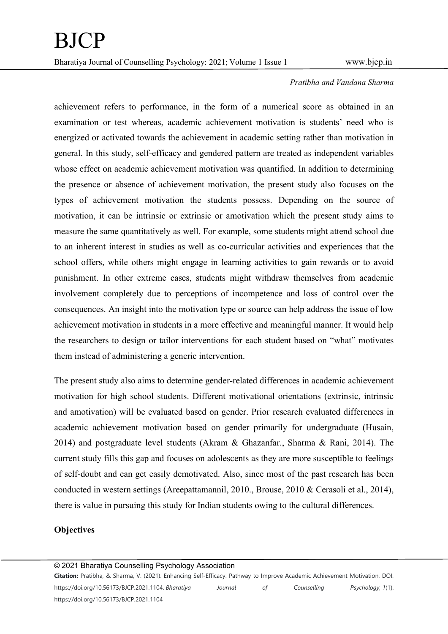achievement refers to performance, in the form of a numerical score as obtained in an examination or test whereas, academic achievement motivation is students' need who is energized or activated towards the achievement in academic setting rather than motivation in general. In this study, self-efficacy and gendered pattern are treated as independent variables whose effect on academic achievement motivation was quantified. In addition to determining the presence or absence of achievement motivation, the present study also focuses on the types of achievement motivation the students possess. Depending on the source of motivation, it can be intrinsic or extrinsic or amotivation which the present study aims to measure the same quantitatively as well. For example, some students might attend school due to an inherent interest in studies as well as co-curricular activities and experiences that the school offers, while others might engage in learning activities to gain rewards or to avoid punishment. In other extreme cases, students might withdraw themselves from academic involvement completely due to perceptions of incompetence and loss of control over the consequences. An insight into the motivation type or source can help address the issue of low achievement motivation in students in a more effective and meaningful manner. It would help the researchers to design or tailor interventions for each student based on "what" motivates them instead of administering a generic intervention.

The present study also aims to determine gender-related differences in academic achievement motivation for high school students. Different motivational orientations (extrinsic, intrinsic and amotivation) will be evaluated based on gender. Prior research evaluated differences in academic achievement motivation based on gender primarily for undergraduate (Husain, 2014) and postgraduate level students (Akram & Ghazanfar., Sharma & Rani, 2014). The current study fills this gap and focuses on adolescents as they are more susceptible to feelings of self-doubt and can get easily demotivated. Also, since most of the past research has been conducted in western settings (Areepattamannil, 2010., Brouse, 2010 & Cerasoli et al., 2014), there is value in pursuing this study for Indian students owing to the cultural differences.

### **Objectives**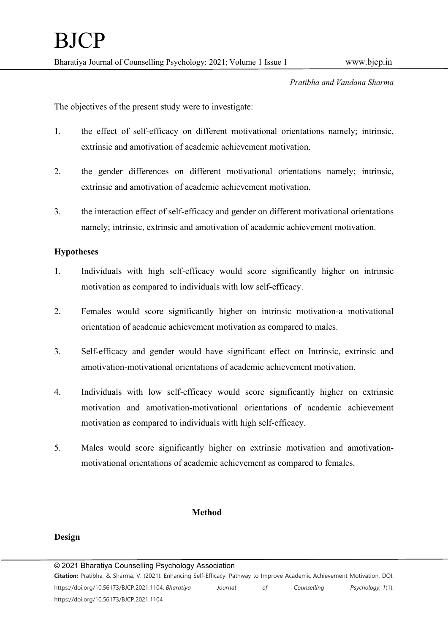The objectives of the present study were to investigate:

- 1. the effect of self-efficacy on different motivational orientations namely; intrinsic, extrinsic and amotivation of academic achievement motivation.
- 2. the gender differences on different motivational orientations namely; intrinsic, extrinsic and amotivation of academic achievement motivation.
- 3. the interaction effect of self-efficacy and gender on different motivational orientations namely; intrinsic, extrinsic and amotivation of academic achievement motivation.

## Hypotheses

- 1. Individuals with high self-efficacy would score significantly higher on intrinsic motivation as compared to individuals with low self-efficacy.
- 2. Females would score significantly higher on intrinsic motivation-a motivational orientation of academic achievement motivation as compared to males.
- 3. Self-efficacy and gender would have significant effect on Intrinsic, extrinsic and amotivation-motivational orientations of academic achievement motivation.
- 4. Individuals with low self-efficacy would score significantly higher on extrinsic motivation and amotivation-motivational orientations of academic achievement motivation as compared to individuals with high self-efficacy.
- 5. Males would score significantly higher on extrinsic motivation and amotivationmotivational orientations of academic achievement as compared to females.

### Method

## Design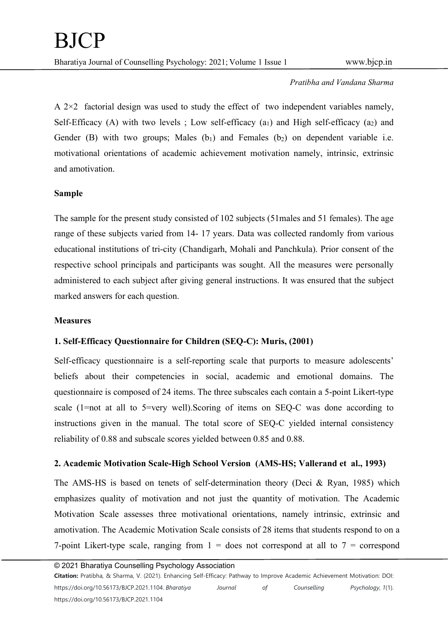A  $2\times 2$  factorial design was used to study the effect of two independent variables namely, Self-Efficacy (A) with two levels ; Low self-efficacy  $(a_1)$  and High self-efficacy  $(a_2)$  and Gender (B) with two groups; Males  $(b_1)$  and Females  $(b_2)$  on dependent variable i.e. motivational orientations of academic achievement motivation namely, intrinsic, extrinsic and amotivation.

## Sample

The sample for the present study consisted of 102 subjects (51males and 51 females). The age range of these subjects varied from 14- 17 years. Data was collected randomly from various educational institutions of tri-city (Chandigarh, Mohali and Panchkula). Prior consent of the respective school principals and participants was sought. All the measures were personally administered to each subject after giving general instructions. It was ensured that the subject marked answers for each question.

### **Measures**

## 1. Self-Efficacy Questionnaire for Children (SEQ-C): Muris, (2001)

Self-efficacy questionnaire is a self-reporting scale that purports to measure adolescents' beliefs about their competencies in social, academic and emotional domains. The questionnaire is composed of 24 items. The three subscales each contain a 5-point Likert-type scale (1=not at all to 5=very well).Scoring of items on SEQ-C was done according to instructions given in the manual. The total score of SEQ-C yielded internal consistency reliability of 0.88 and subscale scores yielded between 0.85 and 0.88.

## 2. Academic Motivation Scale-High School Version (AMS-HS; Vallerand et al., 1993)

The AMS-HS is based on tenets of self-determination theory (Deci & Ryan, 1985) which emphasizes quality of motivation and not just the quantity of motivation. The Academic Motivation Scale assesses three motivational orientations, namely intrinsic, extrinsic and amotivation. The Academic Motivation Scale consists of 28 items that students respond to on a 7-point Likert-type scale, ranging from  $1 =$  does not correspond at all to  $7 =$  correspond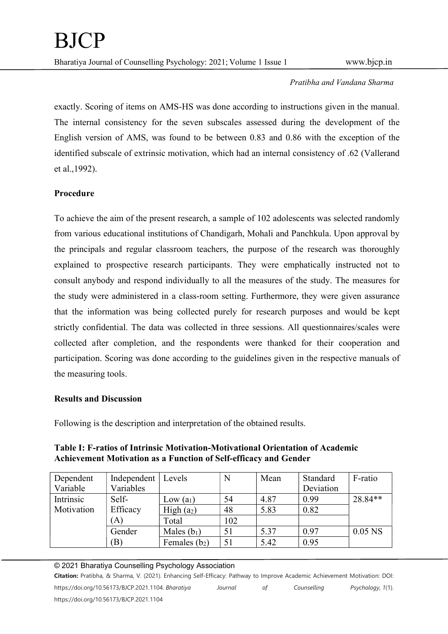exactly. Scoring of items on AMS-HS was done according to instructions given in the manual. The internal consistency for the seven subscales assessed during the development of the English version of AMS, was found to be between 0.83 and 0.86 with the exception of the identified subscale of extrinsic motivation, which had an internal consistency of .62 (Vallerand et al.,1992).

# Procedure

To achieve the aim of the present research, a sample of 102 adolescents was selected randomly from various educational institutions of Chandigarh, Mohali and Panchkula. Upon approval by the principals and regular classroom teachers, the purpose of the research was thoroughly explained to prospective research participants. They were emphatically instructed not to consult anybody and respond individually to all the measures of the study. The measures for the study were administered in a class-room setting. Furthermore, they were given assurance that the information was being collected purely for research purposes and would be kept strictly confidential. The data was collected in three sessions. All questionnaires/scales were collected after completion, and the respondents were thanked for their cooperation and participation. Scoring was done according to the guidelines given in the respective manuals of the measuring tools.

## Results and Discussion

Following is the description and interpretation of the obtained results.

Table I: F-ratios of Intrinsic Motivation-Motivational Orientation of Academic Achievement Motivation as a Function of Self-efficacy and Gender

| Dependent  | Independent   Levels |                        | N   | Mean | Standard  | F-ratio   |
|------------|----------------------|------------------------|-----|------|-----------|-----------|
| Variable   | Variables            |                        |     |      | Deviation |           |
| Intrinsic  | Self-                | Low $(a_1)$            | 54  | 4.87 | 0.99      | 28.84**   |
| Motivation | Efficacy             | High (a <sub>2</sub> ) | 48  | 5.83 | 0.82      |           |
|            | (A)                  | Total                  | 102 |      |           |           |
|            | Gender               | Males $(b_1)$          | 51  | 5.37 | 0.97      | $0.05$ NS |
|            | (B)                  | Females $(b_2)$        | 51  | 5.42 | 0.95      |           |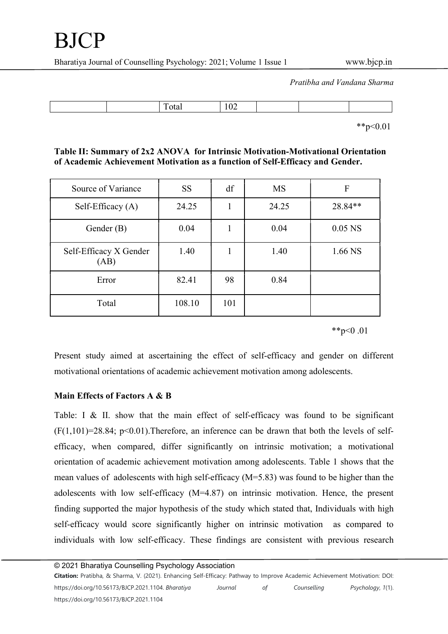| $\sim$ $\sim$ $\sim$ |
|----------------------|
|----------------------|

\*\*p<0.01

# Table II: Summary of 2x2 ANOVA for Intrinsic Motivation-Motivational Orientation of Academic Achievement Motivation as a function of Self-Efficacy and Gender.

| Source of Variance             | <b>SS</b> | df  | <b>MS</b> | F         |
|--------------------------------|-----------|-----|-----------|-----------|
| Self-Efficacy (A)              | 24.25     |     | 24.25     | 28.84**   |
| Gender (B)                     | 0.04      |     | 0.04      | $0.05$ NS |
| Self-Efficacy X Gender<br>(AB) | 1.40      | 1   | 1.40      | 1.66 NS   |
| Error                          | 82.41     | 98  | 0.84      |           |
| Total                          | 108.10    | 101 |           |           |

\*\*p<0.01

Present study aimed at ascertaining the effect of self-efficacy and gender on different motivational orientations of academic achievement motivation among adolescents.

## Main Effects of Factors A & B

Table: I & II. show that the main effect of self-efficacy was found to be significant  $(F(1,101)=28.84; p<0.01)$ . Therefore, an inference can be drawn that both the levels of selfefficacy, when compared, differ significantly on intrinsic motivation; a motivational orientation of academic achievement motivation among adolescents. Table 1 shows that the mean values of adolescents with high self-efficacy (M=5.83) was found to be higher than the adolescents with low self-efficacy (M=4.87) on intrinsic motivation. Hence, the present finding supported the major hypothesis of the study which stated that, Individuals with high self-efficacy would score significantly higher on intrinsic motivation as compared to individuals with low self-efficacy. These findings are consistent with previous research

© 2021 Bharatiya Counselling Psychology Association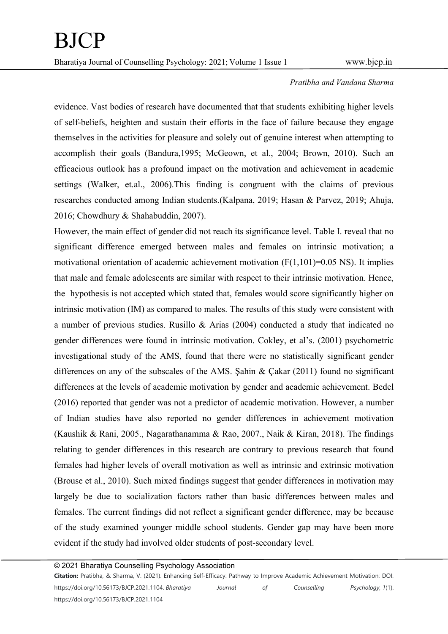evidence. Vast bodies of research have documented that that students exhibiting higher levels of self-beliefs, heighten and sustain their efforts in the face of failure because they engage themselves in the activities for pleasure and solely out of genuine interest when attempting to accomplish their goals (Bandura,1995; McGeown, et al., 2004; Brown, 2010). Such an efficacious outlook has a profound impact on the motivation and achievement in academic settings (Walker, et.al., 2006).This finding is congruent with the claims of previous researches conducted among Indian students.(Kalpana, 2019; Hasan & Parvez, 2019; Ahuja, 2016; Chowdhury & Shahabuddin, 2007).

However, the main effect of gender did not reach its significance level. Table I. reveal that no significant difference emerged between males and females on intrinsic motivation; a motivational orientation of academic achievement motivation  $(F(1,101)=0.05$  NS). It implies that male and female adolescents are similar with respect to their intrinsic motivation. Hence, the hypothesis is not accepted which stated that, females would score significantly higher on intrinsic motivation (IM) as compared to males. The results of this study were consistent with a number of previous studies. Rusillo & Arias (2004) conducted a study that indicated no gender differences were found in intrinsic motivation. Cokley, et al's. (2001) psychometric investigational study of the AMS, found that there were no statistically significant gender differences on any of the subscales of the AMS. Şahin & Çakar (2011) found no significant differences at the levels of academic motivation by gender and academic achievement. Bedel (2016) reported that gender was not a predictor of academic motivation. However, a number of Indian studies have also reported no gender differences in achievement motivation (Kaushik & Rani, 2005., Nagarathanamma & Rao, 2007., Naik & Kiran, 2018). The findings relating to gender differences in this research are contrary to previous research that found females had higher levels of overall motivation as well as intrinsic and extrinsic motivation (Brouse et al., 2010). Such mixed findings suggest that gender differences in motivation may largely be due to socialization factors rather than basic differences between males and females. The current findings did not reflect a significant gender difference, may be because of the study examined younger middle school students. Gender gap may have been more evident if the study had involved older students of post-secondary level.

© 2021 Bharatiya Counselling Psychology Association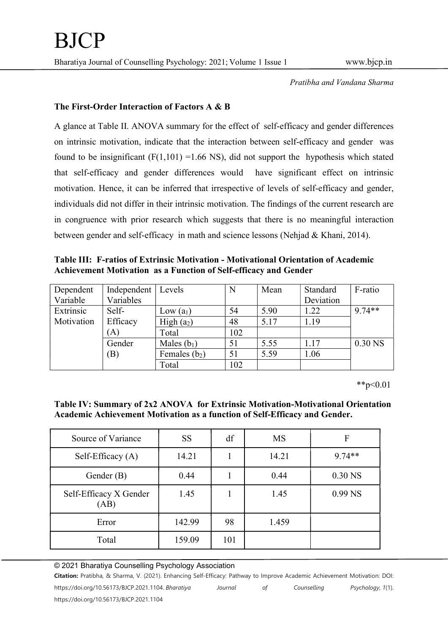### The First-Order Interaction of Factors A & B

A glance at Table II. ANOVA summary for the effect of self-efficacy and gender differences on intrinsic motivation, indicate that the interaction between self-efficacy and gender was found to be insignificant  $(F(1,101) = 1.66 \text{ NS})$ , did not support the hypothesis which stated that self-efficacy and gender differences would have significant effect on intrinsic motivation. Hence, it can be inferred that irrespective of levels of self-efficacy and gender, individuals did not differ in their intrinsic motivation. The findings of the current research are in congruence with prior research which suggests that there is no meaningful interaction between gender and self-efficacy in math and science lessons (Nehjad & Khani, 2014).

Table III: F-ratios of Extrinsic Motivation - Motivational Orientation of Academic Achievement Motivation as a Function of Self-efficacy and Gender

| Dependent<br>Variable | Independent<br>Variables   | Levels                 | N   | Mean | Standard<br>Deviation | F-ratio   |
|-----------------------|----------------------------|------------------------|-----|------|-----------------------|-----------|
| Extrinsic             | Self-                      | Low $(a_1)$            | 54  | 5.90 | 1.22                  | $9.74**$  |
| Motivation            | Efficacy                   | High (a <sub>2</sub> ) | 48  | 5.17 | 1.19                  |           |
|                       | (A)                        | Total                  | 102 |      |                       |           |
|                       | Gender                     | Males $(b_1)$          | 51  | 5.55 | 1.17                  | $0.30$ NS |
|                       | $\left( \mathrm{B}\right)$ | Females $(b_2)$        | 51  | 5.59 | 1.06                  |           |
|                       |                            | Total                  | 102 |      |                       |           |

\*\*p<0.01

## Table IV: Summary of 2x2 ANOVA for Extrinsic Motivation-Motivational Orientation Academic Achievement Motivation as a function of Self-Efficacy and Gender.

| Source of Variance             | <b>SS</b> | df  | <b>MS</b> | $\mathbf{F}$ |
|--------------------------------|-----------|-----|-----------|--------------|
| Self-Efficacy $(A)$            | 14.21     |     | 14.21     | $9.74**$     |
| Gender (B)                     | 0.44      |     | 0.44      | $0.30$ NS    |
| Self-Efficacy X Gender<br>(AB) | 1.45      |     | 1.45      | $0.99$ NS    |
| Error                          | 142.99    | 98  | 1.459     |              |
| Total                          | 159.09    | 101 |           |              |

#### © 2021 Bharatiya Counselling Psychology Association

Citation: Pratibha, & Sharma, V. (2021). Enhancing Self-Efficacy: Pathway to Improve Academic Achievement Motivation: DOI:

https://doi.org/10.56173/BJCP.2021.1104. Bharatiya Journal of Counselling Psychology, 1(1).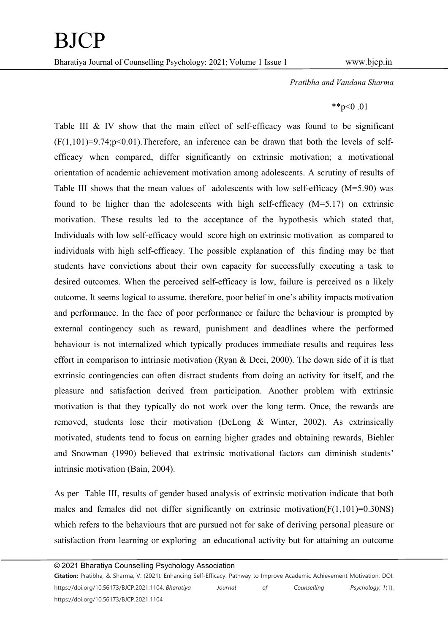# $*^{*}p<0.01$

Table III & IV show that the main effect of self-efficacy was found to be significant  $(F(1,101)=9.74; p<0.01)$ . Therefore, an inference can be drawn that both the levels of selfefficacy when compared, differ significantly on extrinsic motivation; a motivational orientation of academic achievement motivation among adolescents. A scrutiny of results of Table III shows that the mean values of adolescents with low self-efficacy  $(M=5.90)$  was found to be higher than the adolescents with high self-efficacy (M=5.17) on extrinsic motivation. These results led to the acceptance of the hypothesis which stated that, Individuals with low self-efficacy would score high on extrinsic motivation as compared to individuals with high self-efficacy. The possible explanation of this finding may be that students have convictions about their own capacity for successfully executing a task to desired outcomes. When the perceived self-efficacy is low, failure is perceived as a likely outcome. It seems logical to assume, therefore, poor belief in one's ability impacts motivation and performance. In the face of poor performance or failure the behaviour is prompted by external contingency such as reward, punishment and deadlines where the performed behaviour is not internalized which typically produces immediate results and requires less effort in comparison to intrinsic motivation (Ryan & Deci, 2000). The down side of it is that extrinsic contingencies can often distract students from doing an activity for itself, and the pleasure and satisfaction derived from participation. Another problem with extrinsic motivation is that they typically do not work over the long term. Once, the rewards are removed, students lose their motivation (DeLong & Winter, 2002). As extrinsically motivated, students tend to focus on earning higher grades and obtaining rewards, Biehler and Snowman (1990) believed that extrinsic motivational factors can diminish students' intrinsic motivation (Bain, 2004).

As per Table III, results of gender based analysis of extrinsic motivation indicate that both males and females did not differ significantly on extrinsic motivation( $F(1,101) = 0.30$ NS) which refers to the behaviours that are pursued not for sake of deriving personal pleasure or satisfaction from learning or exploring an educational activity but for attaining an outcome

© 2021 Bharatiya Counselling Psychology Association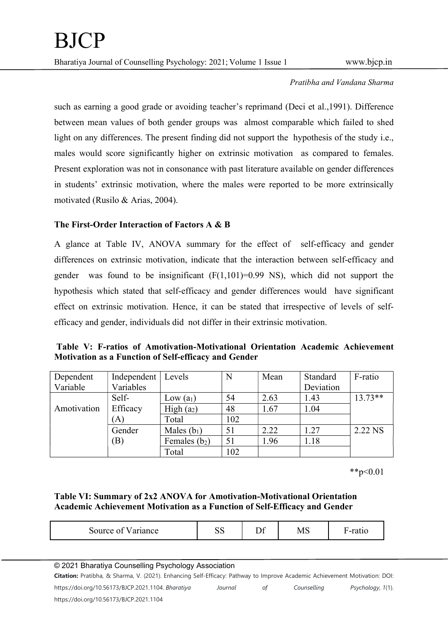such as earning a good grade or avoiding teacher's reprimand (Deci et al.,1991). Difference between mean values of both gender groups was almost comparable which failed to shed light on any differences. The present finding did not support the hypothesis of the study i.e., males would score significantly higher on extrinsic motivation as compared to females. Present exploration was not in consonance with past literature available on gender differences in students' extrinsic motivation, where the males were reported to be more extrinsically motivated (Rusilo & Arias, 2004).

## The First-Order Interaction of Factors A & B

A glance at Table IV, ANOVA summary for the effect of self-efficacy and gender differences on extrinsic motivation, indicate that the interaction between self-efficacy and gender was found to be insignificant  $(F(1,101)=0.99$  NS), which did not support the hypothesis which stated that self-efficacy and gender differences would have significant effect on extrinsic motivation. Hence, it can be stated that irrespective of levels of selfefficacy and gender, individuals did not differ in their extrinsic motivation.

Table V: F-ratios of Amotivation-Motivational Orientation Academic Achievement Motivation as a Function of Self-efficacy and Gender

| Dependent   | Independent   Levels |                        |     | Mean | Standard  | F-ratio   |
|-------------|----------------------|------------------------|-----|------|-----------|-----------|
| Variable    | Variables            |                        |     |      | Deviation |           |
|             | Self-                | Low $(a_1)$            | 54  | 2.63 | 1.43      | $13.73**$ |
| Amotivation | Efficacy             | High (a <sub>2</sub> ) | 48  | 1.67 | 1.04      |           |
|             | (A)                  | Total                  | 102 |      |           |           |
|             | Gender               | Males $(b_1)$          | 51  | 2.22 | 1.27      | 2.22 NS   |
|             | (B)                  | Females $(b_2)$        | 51  | 1.96 | 1.18      |           |
|             |                      | Total                  | 102 |      |           |           |

\*\*p<0.01

Table VI: Summary of 2x2 ANOVA for Amotivation-Motivational Orientation Academic Achievement Motivation as a Function of Self-Efficacy and Gender

| $\sim$ $-$<br>ance | υU | –<br>- - | MS | ∽<br>$-10o$<br>- |
|--------------------|----|----------|----|------------------|
|--------------------|----|----------|----|------------------|

© 2021 Bharatiya Counselling Psychology Association

|  |  |  |  |  |  |  |  |  | Citation: Pratibha, & Sharma, V. (2021). Enhancing Self-Efficacy: Pathway to Improve Academic Achievement Motivation: DOI: |  |  |
|--|--|--|--|--|--|--|--|--|----------------------------------------------------------------------------------------------------------------------------|--|--|
|--|--|--|--|--|--|--|--|--|----------------------------------------------------------------------------------------------------------------------------|--|--|

https://doi.org/10.56173/BJCP.2021.1104. Bharatiya Journal of Counselling Psychology, 1(1). https://doi.org/10.56173/BJCP.2021.1104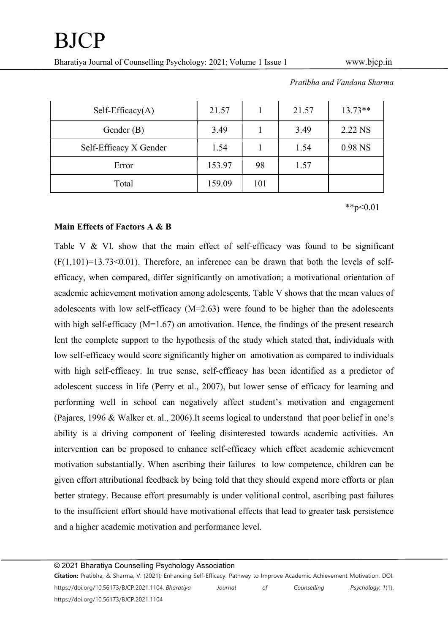Bharatiya Journal of Counselling Psychology: 2021; Volume 1 Issue 1 www.bicp.in

| $Self-Efficacy(A)$     | 21.57  |     | 21.57 | $13.73**$ |
|------------------------|--------|-----|-------|-----------|
| Gender $(B)$           | 3.49   |     | 3.49  | 2.22 NS   |
| Self-Efficacy X Gender | 1.54   |     | 1.54  | 0.98 NS   |
| Error                  | 153.97 | 98  | 1.57  |           |
| Total                  | 159.09 | 101 |       |           |

Pratibha and Vandana Sharma

 $*$  $p<0.01$ 

### Main Effects of Factors A & B

Table V & VI. show that the main effect of self-efficacy was found to be significant  $(F(1,101)=13.73<0.01)$ . Therefore, an inference can be drawn that both the levels of selfefficacy, when compared, differ significantly on amotivation; a motivational orientation of academic achievement motivation among adolescents. Table V shows that the mean values of adolescents with low self-efficacy  $(M=2.63)$  were found to be higher than the adolescents with high self-efficacy (M=1.67) on amotivation. Hence, the findings of the present research lent the complete support to the hypothesis of the study which stated that, individuals with low self-efficacy would score significantly higher on amotivation as compared to individuals with high self-efficacy. In true sense, self-efficacy has been identified as a predictor of adolescent success in life (Perry et al., 2007), but lower sense of efficacy for learning and performing well in school can negatively affect student's motivation and engagement (Pajares, 1996 & Walker et. al., 2006).It seems logical to understand that poor belief in one's ability is a driving component of feeling disinterested towards academic activities. An intervention can be proposed to enhance self-efficacy which effect academic achievement motivation substantially. When ascribing their failures to low competence, children can be given effort attributional feedback by being told that they should expend more efforts or plan better strategy. Because effort presumably is under volitional control, ascribing past failures to the insufficient effort should have motivational effects that lead to greater task persistence and a higher academic motivation and performance level.

© 2021 Bharatiya Counselling Psychology Association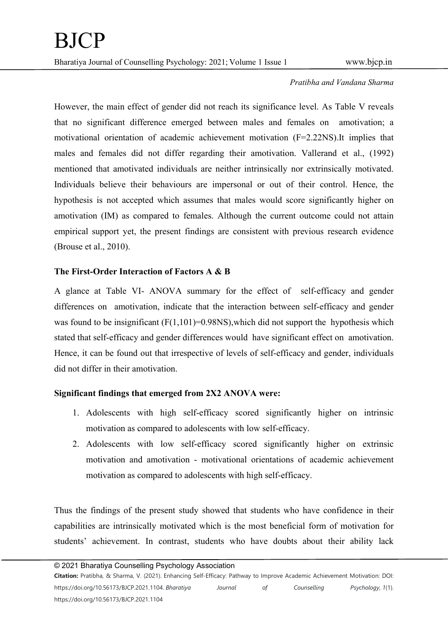However, the main effect of gender did not reach its significance level. As Table V reveals that no significant difference emerged between males and females on amotivation; a motivational orientation of academic achievement motivation (F=2.22NS).It implies that males and females did not differ regarding their amotivation. Vallerand et al., (1992) mentioned that amotivated individuals are neither intrinsically nor extrinsically motivated. Individuals believe their behaviours are impersonal or out of their control. Hence, the hypothesis is not accepted which assumes that males would score significantly higher on amotivation (IM) as compared to females. Although the current outcome could not attain empirical support yet, the present findings are consistent with previous research evidence (Brouse et al., 2010).

# The First-Order Interaction of Factors A & B

A glance at Table VI- ANOVA summary for the effect of self-efficacy and gender differences on amotivation, indicate that the interaction between self-efficacy and gender was found to be insignificant  $(F(1,101)=0.98$ NS), which did not support the hypothesis which stated that self-efficacy and gender differences would have significant effect on amotivation. Hence, it can be found out that irrespective of levels of self-efficacy and gender, individuals did not differ in their amotivation.

# Significant findings that emerged from 2X2 ANOVA were:

- 1. Adolescents with high self-efficacy scored significantly higher on intrinsic motivation as compared to adolescents with low self-efficacy.
- 2. Adolescents with low self-efficacy scored significantly higher on extrinsic motivation and amotivation - motivational orientations of academic achievement motivation as compared to adolescents with high self-efficacy.

Thus the findings of the present study showed that students who have confidence in their capabilities are intrinsically motivated which is the most beneficial form of motivation for students' achievement. In contrast, students who have doubts about their ability lack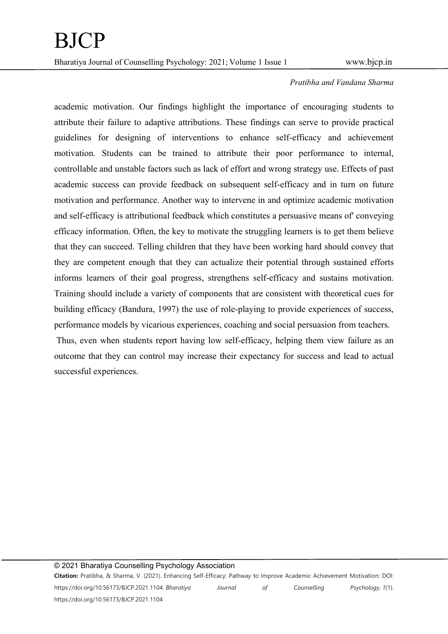academic motivation. Our findings highlight the importance of encouraging students to attribute their failure to adaptive attributions. These findings can serve to provide practical guidelines for designing of interventions to enhance self-efficacy and achievement motivation. Students can be trained to attribute their poor performance to internal, controllable and unstable factors such as lack of effort and wrong strategy use. Effects of past academic success can provide feedback on subsequent self-efficacy and in turn on future motivation and performance. Another way to intervene in and optimize academic motivation and self-efficacy is attributional feedback which constitutes a persuasive means of' conveying efficacy information. Often, the key to motivate the struggling learners is to get them believe that they can succeed. Telling children that they have been working hard should convey that they are competent enough that they can actualize their potential through sustained efforts informs learners of their goal progress, strengthens self-efficacy and sustains motivation. Training should include a variety of components that are consistent with theoretical cues for building efficacy (Bandura, 1997) the use of role-playing to provide experiences of success, performance models by vicarious experiences, coaching and social persuasion from teachers.

 Thus, even when students report having low self-efficacy, helping them view failure as an outcome that they can control may increase their expectancy for success and lead to actual successful experiences.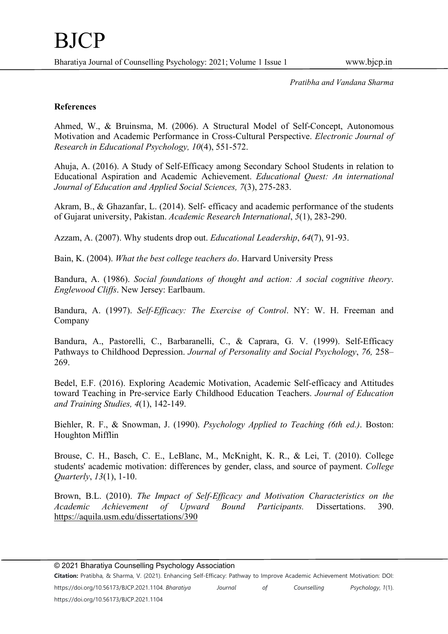## References

Ahmed, W., & Bruinsma, M. (2006). A Structural Model of Self-Concept, Autonomous Motivation and Academic Performance in Cross-Cultural Perspective. Electronic Journal of Research in Educational Psychology, 10(4), 551-572.

Ahuja, A. (2016). A Study of Self-Efficacy among Secondary School Students in relation to Educational Aspiration and Academic Achievement. Educational Quest: An international Journal of Education and Applied Social Sciences, 7(3), 275-283.

Akram, B., & Ghazanfar, L. (2014). Self- efficacy and academic performance of the students of Gujarat university, Pakistan. Academic Research International, 5(1), 283-290.

Azzam, A. (2007). Why students drop out. Educational Leadership, 64(7), 91-93.

Bain, K. (2004). What the best college teachers do. Harvard University Press

Bandura, A. (1986). Social foundations of thought and action: A social cognitive theory. Englewood Cliffs. New Jersey: Earlbaum.

Bandura, A. (1997). Self-Efficacy: The Exercise of Control. NY: W. H. Freeman and Company

Bandura, A., Pastorelli, C., Barbaranelli, C., & Caprara, G. V. (1999). Self-Efficacy Pathways to Childhood Depression. Journal of Personality and Social Psychology, 76, 258– 269.

Bedel, E.F. (2016). Exploring Academic Motivation, Academic Self-efficacy and Attitudes toward Teaching in Pre-service Early Childhood Education Teachers. Journal of Education and Training Studies, 4(1), 142-149.

Biehler, R. F., & Snowman, J. (1990). *Psychology Applied to Teaching (6th ed.*). Boston: Houghton Mifflin

Brouse, C. H., Basch, C. E., LeBlanc, M., McKnight, K. R., & Lei, T. (2010). College students' academic motivation: differences by gender, class, and source of payment. College Quarterly, 13(1), 1-10.

Brown, B.L. (2010). The Impact of Self-Efficacy and Motivation Characteristics on the Academic Achievement of Upward Bound Participants. Dissertations. 390. https://aquila.usm.edu/dissertations/390

© 2021 Bharatiya Counselling Psychology Association

Citation: Pratibha, & Sharma, V. (2021). Enhancing Self-Efficacy: Pathway to Improve Academic Achievement Motivation: DOI: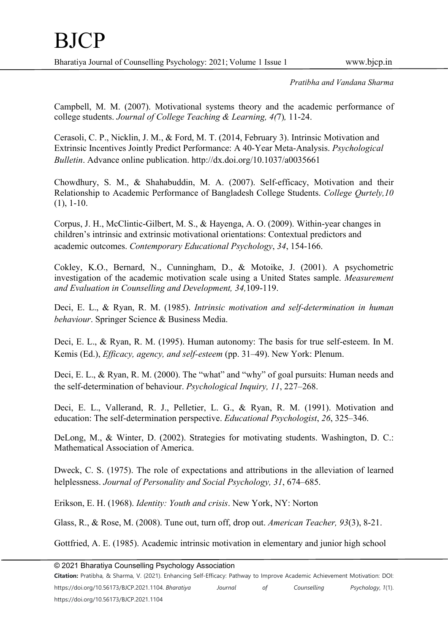Campbell, M. M. (2007). Motivational systems theory and the academic performance of college students. Journal of College Teaching & Learning, 4(7), 11-24.

Cerasoli, C. P., Nicklin, J. M., & Ford, M. T. (2014, February 3). Intrinsic Motivation and Extrinsic Incentives Jointly Predict Performance: A 40-Year Meta-Analysis. Psychological Bulletin. Advance online publication. http://dx.doi.org/10.1037/a0035661

Chowdhury, S. M., & Shahabuddin, M. A. (2007). Self-efficacy, Motivation and their Relationship to Academic Performance of Bangladesh College Students. College Qurtely,10  $(1), 1-10.$ 

Corpus, J. H., McClintic-Gilbert, M. S., & Hayenga, A. O. (2009). Within-year changes in children's intrinsic and extrinsic motivational orientations: Contextual predictors and academic outcomes. Contemporary Educational Psychology, 34, 154-166.

Cokley, K.O., Bernard, N., Cunningham, D., & Motoike, J. (2001). A psychometric investigation of the academic motivation scale using a United States sample. Measurement and Evaluation in Counselling and Development, 34,109-119.

Deci, E. L., & Ryan, R. M. (1985). Intrinsic motivation and self-determination in human behaviour. Springer Science & Business Media.

Deci, E. L., & Ryan, R. M. (1995). Human autonomy: The basis for true self-esteem. In M. Kemis (Ed.), Efficacy, agency, and self-esteem (pp. 31–49). New York: Plenum.

Deci, E. L., & Ryan, R. M. (2000). The "what" and "why" of goal pursuits: Human needs and the self-determination of behaviour. Psychological Inquiry, 11, 227–268.

Deci, E. L., Vallerand, R. J., Pelletier, L. G., & Ryan, R. M. (1991). Motivation and education: The self-determination perspective. Educational Psychologist, 26, 325–346.

DeLong, M., & Winter, D. (2002). Strategies for motivating students. Washington, D. C.: Mathematical Association of America.

Dweck, C. S. (1975). The role of expectations and attributions in the alleviation of learned helplessness. Journal of Personality and Social Psychology, 31, 674–685.

Erikson, E. H. (1968). Identity: Youth and crisis. New York, NY: Norton

Glass, R., & Rose, M. (2008). Tune out, turn off, drop out. American Teacher, 93(3), 8-21.

Gottfried, A. E. (1985). Academic intrinsic motivation in elementary and junior high school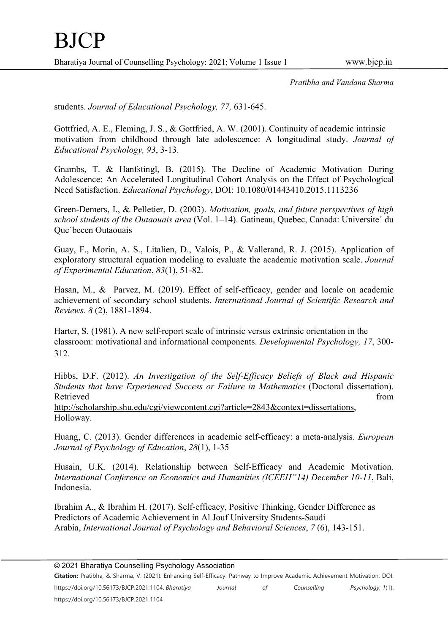students. Journal of Educational Psychology, 77, 631-645.

Gottfried, A. E., Fleming, J. S., & Gottfried, A. W. (2001). Continuity of academic intrinsic motivation from childhood through late adolescence: A longitudinal study. Journal of Educational Psychology, 93, 3-13.

Gnambs, T. & Hanfstingl, B. (2015). The Decline of Academic Motivation During Adolescence: An Accelerated Longitudinal Cohort Analysis on the Effect of Psychological Need Satisfaction. Educational Psychology, DOI: 10.1080/01443410.2015.1113236

Green-Demers, I., & Pelletier, D. (2003). Motivation, goals, and future perspectives of high school students of the Outaouais area (Vol.  $1-14$ ). Gatineau, Ouebec, Canada: Universite' du Que´becen Outaouais

Guay, F., Morin, A. S., Litalien, D., Valois, P., & Vallerand, R. J. (2015). Application of exploratory structural equation modeling to evaluate the academic motivation scale. Journal of Experimental Education, 83(1), 51-82.

Hasan, M., & Parvez, M. (2019). Effect of self-efficacy, gender and locale on academic achievement of secondary school students. International Journal of Scientific Research and Reviews. 8 (2), 1881-1894.

Harter, S. (1981). A new self-report scale of intrinsic versus extrinsic orientation in the classroom: motivational and informational components. Developmental Psychology, 17, 300- 312.

Hibbs, D.F. (2012). An Investigation of the Self-Efficacy Beliefs of Black and Hispanic Students that have Experienced Success or Failure in Mathematics (Doctoral dissertation). Retrieved from the state of the state of the state of the state of the state of the state of the state of the state of the state of the state of the state of the state of the state of the state of the state of the state of http://scholarship.shu.edu/cgi/viewcontent.cgi?article=2843&context=dissertations, Holloway.

Huang, C. (2013). Gender differences in academic self-efficacy: a meta-analysis. European Journal of Psychology of Education, 28(1), 1-35

Husain, U.K. (2014). Relationship between Self-Efficacy and Academic Motivation. International Conference on Economics and Humanities (ICEEH"14) December 10-11, Bali, Indonesia.

Ibrahim A., & Ibrahim H. (2017). Self-efficacy, Positive Thinking, Gender Difference as Predictors of Academic Achievement in Al Jouf University Students-Saudi Arabia, International Journal of Psychology and Behavioral Sciences, 7 (6), 143-151.

Citation: Pratibha, & Sharma, V. (2021). Enhancing Self-Efficacy: Pathway to Improve Academic Achievement Motivation: DOI: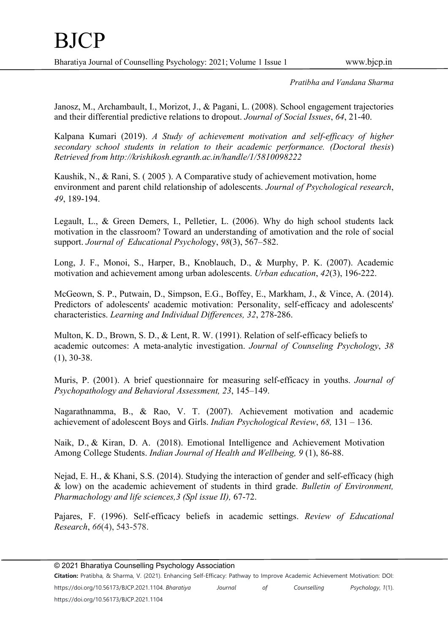Janosz, M., Archambault, I., Morizot, J., & Pagani, L. (2008). School engagement trajectories and their differential predictive relations to dropout. Journal of Social Issues, 64, 21-40.

Kalpana Kumari (2019). A Study of achievement motivation and self-efficacy of higher secondary school students in relation to their academic performance. (Doctoral thesis) Retrieved from http://krishikosh.egranth.ac.in/handle/1/5810098222

Kaushik, N., & Rani, S. ( 2005 ). A Comparative study of achievement motivation, home environment and parent child relationship of adolescents. Journal of Psychological research, 49, 189-194.

Legault, L., & Green Demers, I., Pelletier, L. (2006). Why do high school students lack motivation in the classroom? Toward an understanding of amotivation and the role of social support. Journal of Educational Psychology, 98(3), 567–582.

Long, J. F., Monoi, S., Harper, B., Knoblauch, D., & Murphy, P. K. (2007). Academic motivation and achievement among urban adolescents. Urban education, 42(3), 196-222.

McGeown, S. P., Putwain, D., Simpson, E.G., Boffey, E., Markham, J., & Vince, A. (2014). Predictors of adolescents' academic motivation: Personality, self-efficacy and adolescents' characteristics. Learning and Individual Differences, 32, 278-286.

Multon, K. D., Brown, S. D., & Lent, R. W. (1991). Relation of self-efficacy beliefs to academic outcomes: A meta-analytic investigation. Journal of Counseling Psychology, 38 (1), 30-38.

Muris, P. (2001). A brief questionnaire for measuring self-efficacy in youths. Journal of Psychopathology and Behavioral Assessment, 23, 145–149.

Nagarathnamma, B., & Rao, V. T. (2007). Achievement motivation and academic achievement of adolescent Boys and Girls. Indian Psychological Review, 68, 131 – 136.

Naik, D., & Kiran, D. A. (2018). Emotional Intelligence and Achievement Motivation Among College Students. Indian Journal of Health and Wellbeing, 9 (1), 86-88.

Nejad, E. H., & Khani, S.S. (2014). Studying the interaction of gender and self-efficacy (high & low) on the academic achievement of students in third grade. Bulletin of Environment, Pharmachology and life sciences, 3 (Spl issue II), 67-72.

Pajares, F. (1996). Self-efficacy beliefs in academic settings. Review of Educational Research, 66(4), 543-578.

© 2021 Bharatiya Counselling Psychology Association

Citation: Pratibha, & Sharma, V. (2021). Enhancing Self-Efficacy: Pathway to Improve Academic Achievement Motivation: DOI: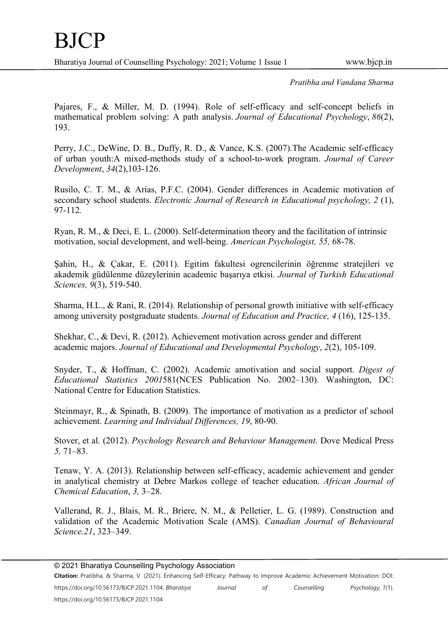Pajares, F., & Miller, M. D. (1994). Role of self-efficacy and self-concept beliefs in mathematical problem solving: A path analysis. Journal of Educational Psychology, 86(2), 193.

Perry, J.C., DeWine, D. B., Duffy, R. D., & Vance, K.S. (2007).The Academic self-efficacy of urban youth:A mixed-methods study of a school-to-work program. Journal of Career Development, 34(2),103-126.

Rusilo, C. T. M., & Arias, P.F.C. (2004). Gender differences in Academic motivation of secondary school students. Electronic Journal of Research in Educational psychology, 2 (1), 97-112.

Ryan, R. M., & Deci, E. L. (2000). Self-determination theory and the facilitation of intrinsic motivation, social development, and well-being. American Psychologist, 55, 68-78.

Şahin, H., & Çakar, E. (2011). Egitim fakultesi ogrencilerinin öğrenme stratejileri ve akademik güdülenme düzeylerinin academic başarıya etkisi. Journal of Turkish Educational Sciences, 9(3), 519-540.

Sharma, H.L., & Rani, R. (2014). Relationship of personal growth initiative with self-efficacy among university postgraduate students. Journal of Education and Practice, 4 (16), 125-135.

Shekhar, C., & Devi, R. (2012). Achievement motivation across gender and different academic majors. Journal of Educational and Developmental Psychology, 2(2), 105-109.

Snyder, T., & Hoffman, C. (2002). Academic amotivation and social support. Digest of Educational Statistics 2001581(NCES Publication No. 2002–130). Washington, DC: National Centre for Education Statistics.

Steinmayr, R., & Spinath, B. (2009). The importance of motivation as a predictor of school achievement. Learning and Individual Differences, 19, 80-90.

Stover, et al. (2012). Psychology Research and Behaviour Management. Dove Medical Press 5, 71–83.

Tenaw, Y. A. (2013). Relationship between self-efficacy, academic achievement and gender in analytical chemistry at Debre Markos college of teacher education. African Journal of Chemical Education, 3, 3–28.

Vallerand, R. J., Blais, M. R., Briere, N. M., & Pelletier, L. G. (1989). Construction and validation of the Academic Motivation Scale (AMS). Canadian Journal of Behavioural Science.21, 323–349.